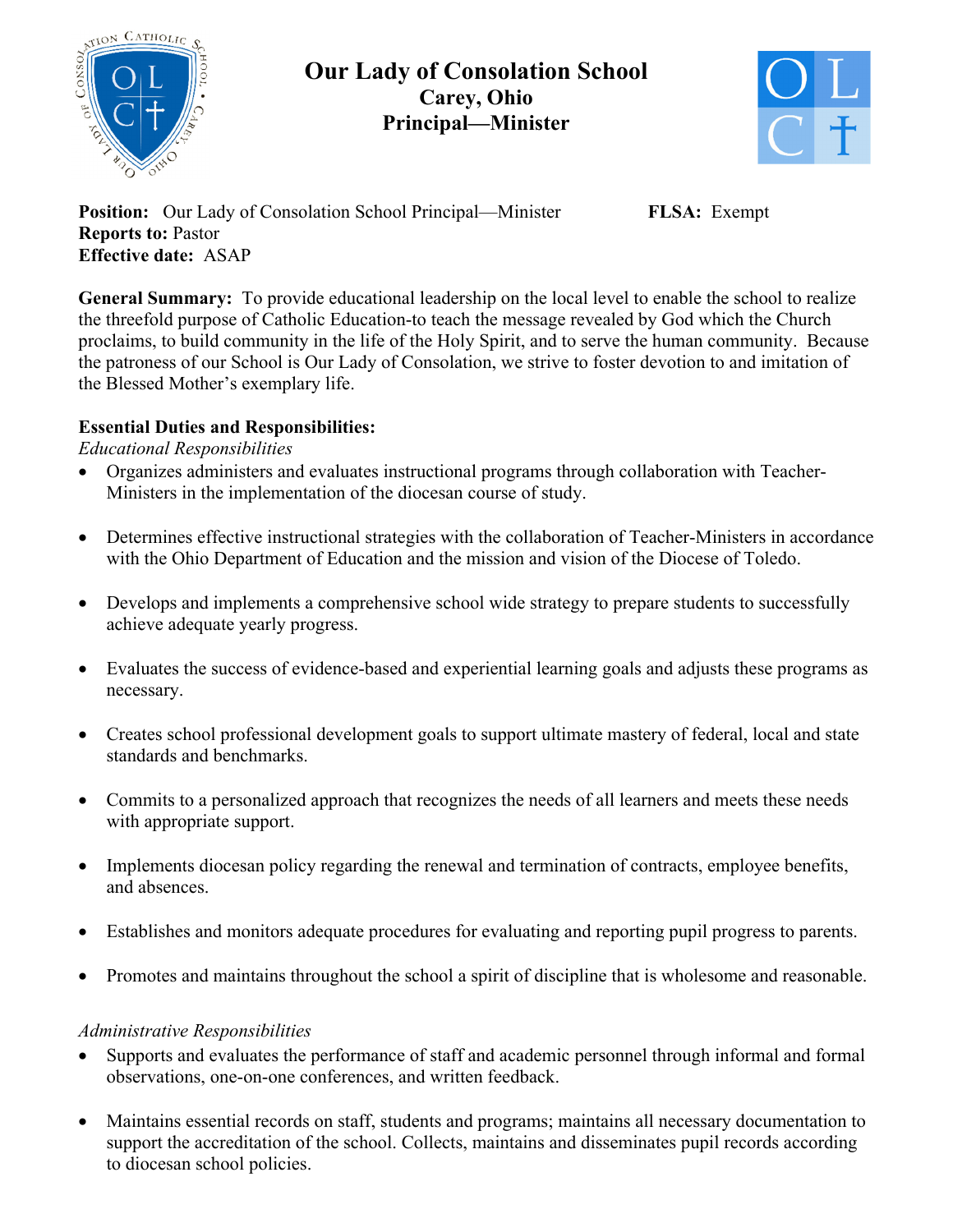

# **Our Lady of Consolation School Carey, Ohio Principal—Minister**



**Position:** Our Lady of Consolation School Principal—Minister **FLSA:** Exempt **Reports to:** Pastor **Effective date:** ASAP

**General Summary:** To provide educational leadership on the local level to enable the school to realize the threefold purpose of Catholic Education-to teach the message revealed by God which the Church proclaims, to build community in the life of the Holy Spirit, and to serve the human community. Because the patroness of our School is Our Lady of Consolation, we strive to foster devotion to and imitation of the Blessed Mother's exemplary life.

## **Essential Duties and Responsibilities:**

## *Educational Responsibilities*

- Organizes administers and evaluates instructional programs through collaboration with Teacher-Ministers in the implementation of the diocesan course of study.
- Determines effective instructional strategies with the collaboration of Teacher-Ministers in accordance with the Ohio Department of Education and the mission and vision of the Diocese of Toledo.
- Develops and implements a comprehensive school wide strategy to prepare students to successfully achieve adequate yearly progress.
- Evaluates the success of evidence-based and experiential learning goals and adjusts these programs as necessary.
- Creates school professional development goals to support ultimate mastery of federal, local and state standards and benchmarks.
- Commits to a personalized approach that recognizes the needs of all learners and meets these needs with appropriate support.
- Implements diocesan policy regarding the renewal and termination of contracts, employee benefits, and absences.
- Establishes and monitors adequate procedures for evaluating and reporting pupil progress to parents.
- Promotes and maintains throughout the school a spirit of discipline that is wholesome and reasonable.

## *Administrative Responsibilities*

- Supports and evaluates the performance of staff and academic personnel through informal and formal observations, one-on-one conferences, and written feedback.
- Maintains essential records on staff, students and programs; maintains all necessary documentation to support the accreditation of the school. Collects, maintains and disseminates pupil records according to diocesan school policies.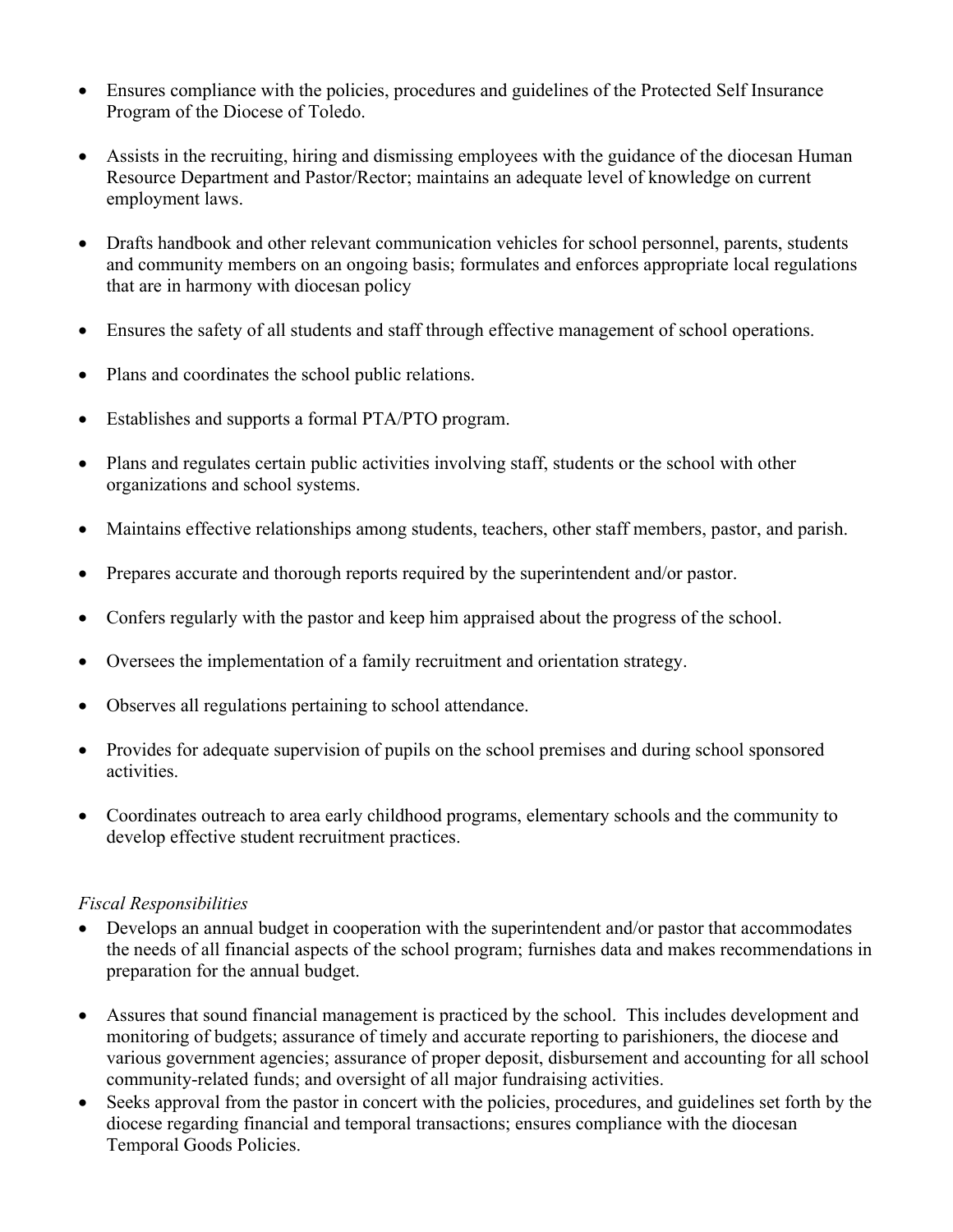- Ensures compliance with the policies, procedures and guidelines of the Protected Self Insurance Program of the Diocese of Toledo.
- Assists in the recruiting, hiring and dismissing employees with the guidance of the diocesan Human Resource Department and Pastor/Rector; maintains an adequate level of knowledge on current employment laws.
- Drafts handbook and other relevant communication vehicles for school personnel, parents, students and community members on an ongoing basis; formulates and enforces appropriate local regulations that are in harmony with diocesan policy
- Ensures the safety of all students and staff through effective management of school operations.
- Plans and coordinates the school public relations.
- Establishes and supports a formal PTA/PTO program.
- Plans and regulates certain public activities involving staff, students or the school with other organizations and school systems.
- Maintains effective relationships among students, teachers, other staff members, pastor, and parish.
- Prepares accurate and thorough reports required by the superintendent and/or pastor.
- Confers regularly with the pastor and keep him appraised about the progress of the school.
- Oversees the implementation of a family recruitment and orientation strategy.
- Observes all regulations pertaining to school attendance.
- Provides for adequate supervision of pupils on the school premises and during school sponsored activities.
- Coordinates outreach to area early childhood programs, elementary schools and the community to develop effective student recruitment practices.

#### *Fiscal Responsibilities*

- Develops an annual budget in cooperation with the superintendent and/or pastor that accommodates the needs of all financial aspects of the school program; furnishes data and makes recommendations in preparation for the annual budget.
- Assures that sound financial management is practiced by the school. This includes development and monitoring of budgets; assurance of timely and accurate reporting to parishioners, the diocese and various government agencies; assurance of proper deposit, disbursement and accounting for all school community-related funds; and oversight of all major fundraising activities.
- Seeks approval from the pastor in concert with the policies, procedures, and guidelines set forth by the diocese regarding financial and temporal transactions; ensures compliance with the diocesan Temporal Goods Policies.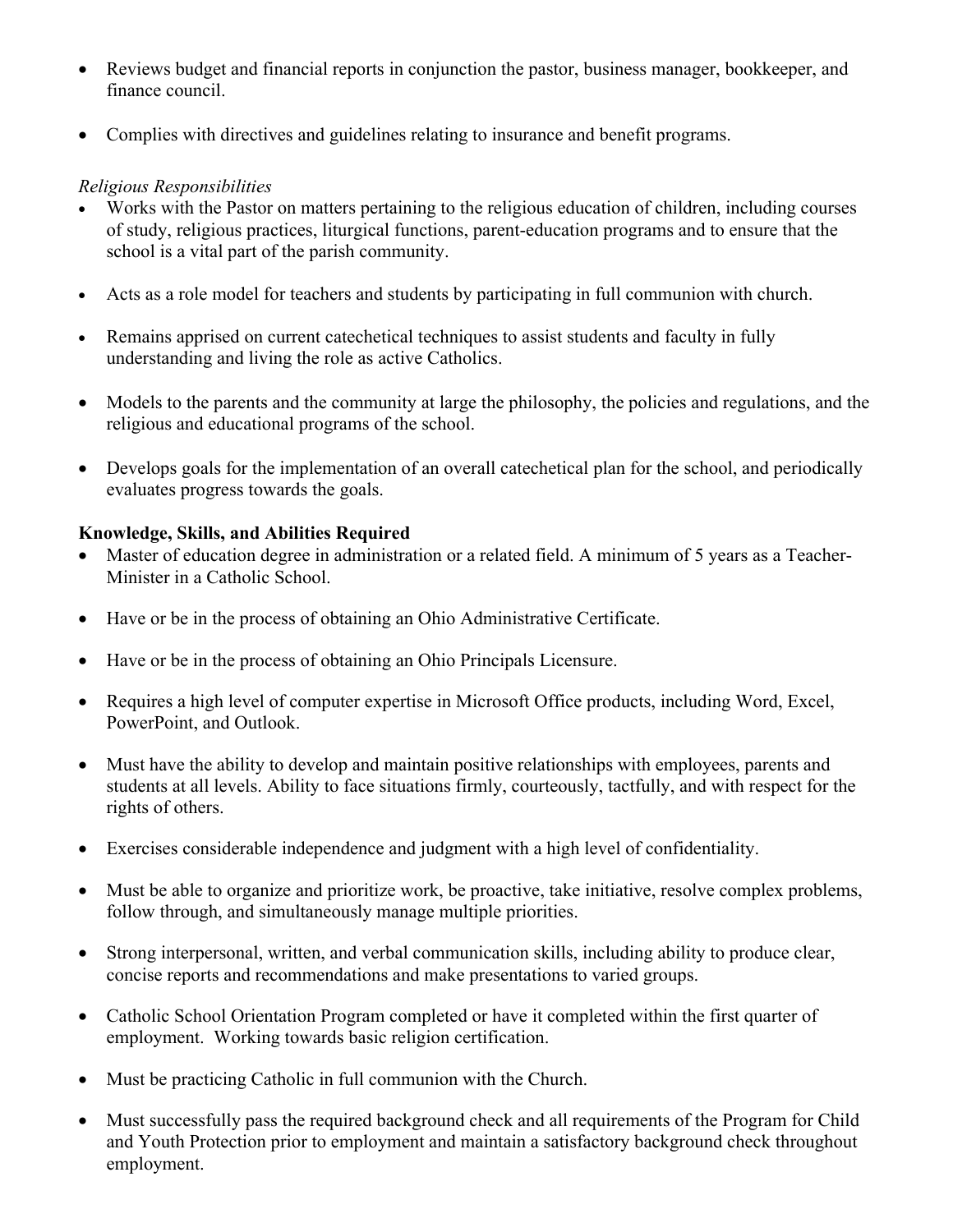- Reviews budget and financial reports in conjunction the pastor, business manager, bookkeeper, and finance council.
- Complies with directives and guidelines relating to insurance and benefit programs.

### *Religious Responsibilities*

- Works with the Pastor on matters pertaining to the religious education of children, including courses of study, religious practices, liturgical functions, parent-education programs and to ensure that the school is a vital part of the parish community.
- Acts as a role model for teachers and students by participating in full communion with church.
- Remains apprised on current catechetical techniques to assist students and faculty in fully understanding and living the role as active Catholics.
- Models to the parents and the community at large the philosophy, the policies and regulations, and the religious and educational programs of the school.
- Develops goals for the implementation of an overall catechetical plan for the school, and periodically evaluates progress towards the goals.

### **Knowledge, Skills, and Abilities Required**

- Master of education degree in administration or a related field. A minimum of 5 years as a Teacher-Minister in a Catholic School.
- Have or be in the process of obtaining an Ohio Administrative Certificate.
- Have or be in the process of obtaining an Ohio Principals Licensure.
- Requires a high level of computer expertise in Microsoft Office products, including Word, Excel, PowerPoint, and Outlook.
- Must have the ability to develop and maintain positive relationships with employees, parents and students at all levels. Ability to face situations firmly, courteously, tactfully, and with respect for the rights of others.
- Exercises considerable independence and judgment with a high level of confidentiality.
- Must be able to organize and prioritize work, be proactive, take initiative, resolve complex problems, follow through, and simultaneously manage multiple priorities.
- Strong interpersonal, written, and verbal communication skills, including ability to produce clear, concise reports and recommendations and make presentations to varied groups.
- Catholic School Orientation Program completed or have it completed within the first quarter of employment. Working towards basic religion certification.
- Must be practicing Catholic in full communion with the Church.
- Must successfully pass the required background check and all requirements of the Program for Child and Youth Protection prior to employment and maintain a satisfactory background check throughout employment.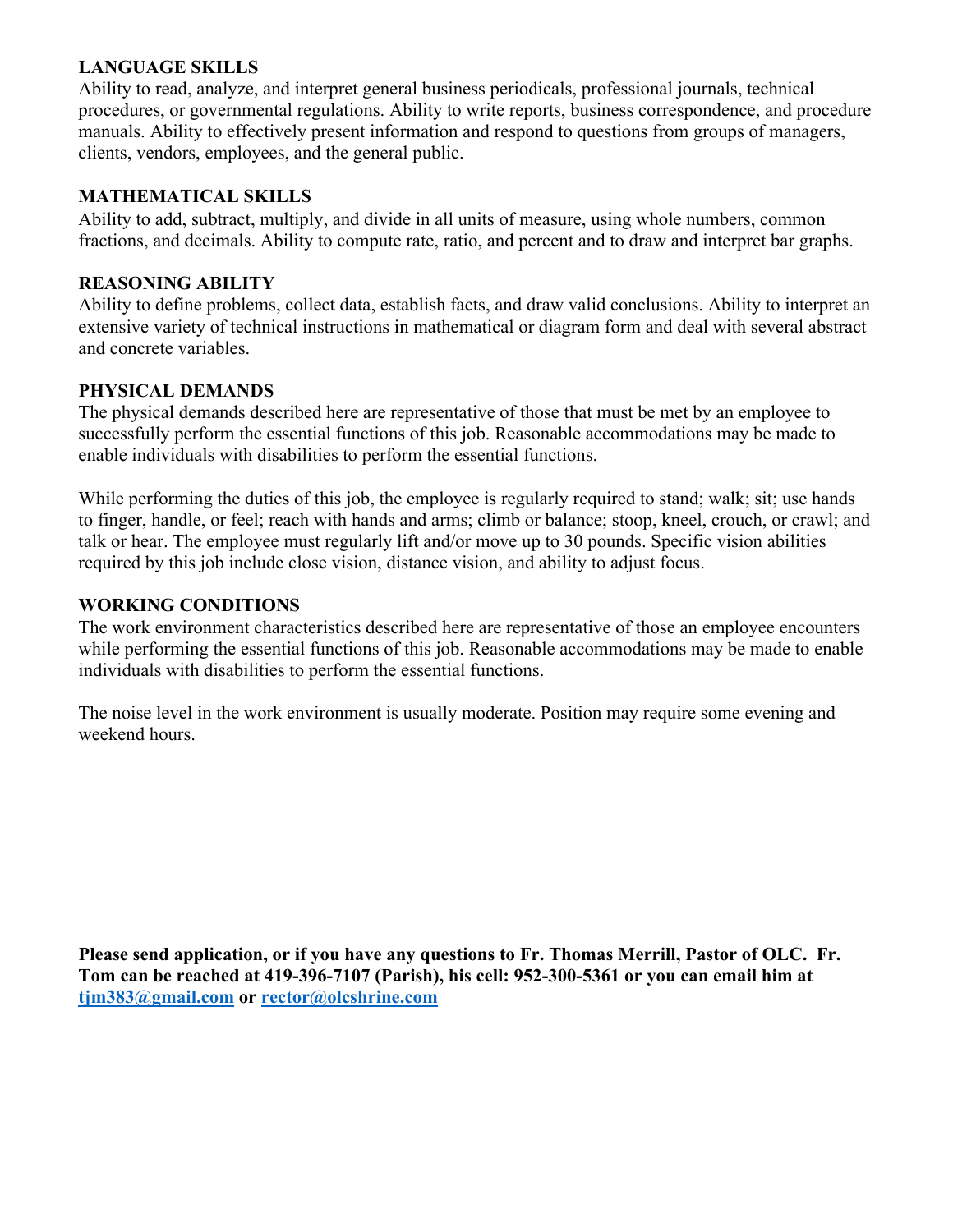### **LANGUAGE SKILLS**

Ability to read, analyze, and interpret general business periodicals, professional journals, technical procedures, or governmental regulations. Ability to write reports, business correspondence, and procedure manuals. Ability to effectively present information and respond to questions from groups of managers, clients, vendors, employees, and the general public.

### **MATHEMATICAL SKILLS**

Ability to add, subtract, multiply, and divide in all units of measure, using whole numbers, common fractions, and decimals. Ability to compute rate, ratio, and percent and to draw and interpret bar graphs.

#### **REASONING ABILITY**

Ability to define problems, collect data, establish facts, and draw valid conclusions. Ability to interpret an extensive variety of technical instructions in mathematical or diagram form and deal with several abstract and concrete variables.

#### **PHYSICAL DEMANDS**

The physical demands described here are representative of those that must be met by an employee to successfully perform the essential functions of this job. Reasonable accommodations may be made to enable individuals with disabilities to perform the essential functions.

While performing the duties of this job, the employee is regularly required to stand; walk; sit; use hands to finger, handle, or feel; reach with hands and arms; climb or balance; stoop, kneel, crouch, or crawl; and talk or hear. The employee must regularly lift and/or move up to 30 pounds. Specific vision abilities required by this job include close vision, distance vision, and ability to adjust focus.

#### **WORKING CONDITIONS**

The work environment characteristics described here are representative of those an employee encounters while performing the essential functions of this job. Reasonable accommodations may be made to enable individuals with disabilities to perform the essential functions.

The noise level in the work environment is usually moderate. Position may require some evening and weekend hours.

**Please send application, or if you have any questions to Fr. Thomas Merrill, Pastor of OLC. Fr. Tom can be reached at 419-396-7107 (Parish), his cell: 952-300-5361 or you can email him at tjm383@gmail.com or rector@olcshrine.com**